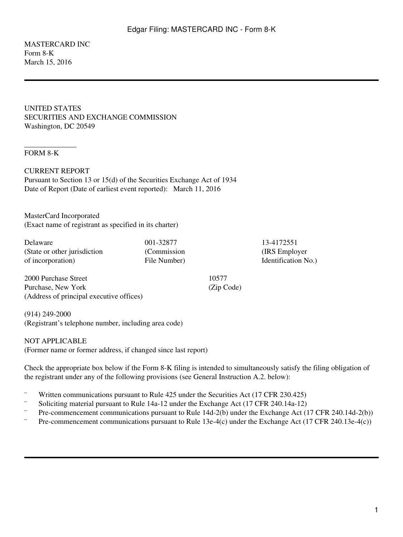#### MASTERCARD INC Form 8-K March 15, 2016

UNITED STATES SECURITIES AND EXCHANGE COMMISSION Washington, DC 20549

### FORM 8-K

\_\_\_\_\_\_\_\_\_\_\_\_\_\_

CURRENT REPORT Pursuant to Section 13 or 15(d) of the Securities Exchange Act of 1934 Date of Report (Date of earliest event reported): March 11, 2016

MasterCard Incorporated (Exact name of registrant as specified in its charter)

| 001-32877    | 13-4172551     |
|--------------|----------------|
| (Commission) | (IRS Employe   |
| File Number) | Identification |
|              |                |

2000 Purchase Street Purchase, New York (Address of principal executive offices)

(914) 249-2000 (Registrant's telephone number, including area code)

NOT APPLICABLE

(Former name or former address, if changed since last report)

Check the appropriate box below if the Form 8-K filing is intended to simultaneously satisfy the filing obligation of the registrant under any of the following provisions (see General Instruction A.2. below):

10577 (Zip Code)

- ¨ Written communications pursuant to Rule 425 under the Securities Act (17 CFR 230.425)
- Soliciting material pursuant to Rule 14a-12 under the Exchange Act (17 CFR 240.14a-12)
- Pre-commencement communications pursuant to Rule 14d-2(b) under the Exchange Act (17 CFR 240.14d-2(b))
- ¨ Pre-commencement communications pursuant to Rule 13e-4(c) under the Exchange Act (17 CFR 240.13e-4(c))

(IRS Employer  $No.$ )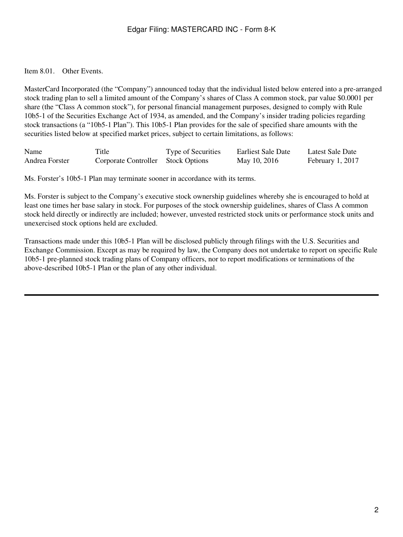## Edgar Filing: MASTERCARD INC - Form 8-K

Item 8.01. Other Events.

MasterCard Incorporated (the "Company") announced today that the individual listed below entered into a pre-arranged stock trading plan to sell a limited amount of the Company's shares of Class A common stock, par value \$0.0001 per share (the "Class A common stock"), for personal financial management purposes, designed to comply with Rule 10b5-1 of the Securities Exchange Act of 1934, as amended, and the Company's insider trading policies regarding stock transactions (a "10b5-1 Plan"). This 10b5-1 Plan provides for the sale of specified share amounts with the securities listed below at specified market prices, subject to certain limitations, as follows:

| Name           | Title                              | Type of Securities | Earliest Sale Date | Latest Sale Date |
|----------------|------------------------------------|--------------------|--------------------|------------------|
| Andrea Forster | Corporate Controller Stock Options |                    | May 10, 2016       | February 1, 2017 |

Ms. Forster's 10b5-1 Plan may terminate sooner in accordance with its terms.

Ms. Forster is subject to the Company's executive stock ownership guidelines whereby she is encouraged to hold at least one times her base salary in stock. For purposes of the stock ownership guidelines, shares of Class A common stock held directly or indirectly are included; however, unvested restricted stock units or performance stock units and unexercised stock options held are excluded.

Transactions made under this 10b5-1 Plan will be disclosed publicly through filings with the U.S. Securities and Exchange Commission. Except as may be required by law, the Company does not undertake to report on specific Rule 10b5-1 pre-planned stock trading plans of Company officers, nor to report modifications or terminations of the above-described 10b5-1 Plan or the plan of any other individual.